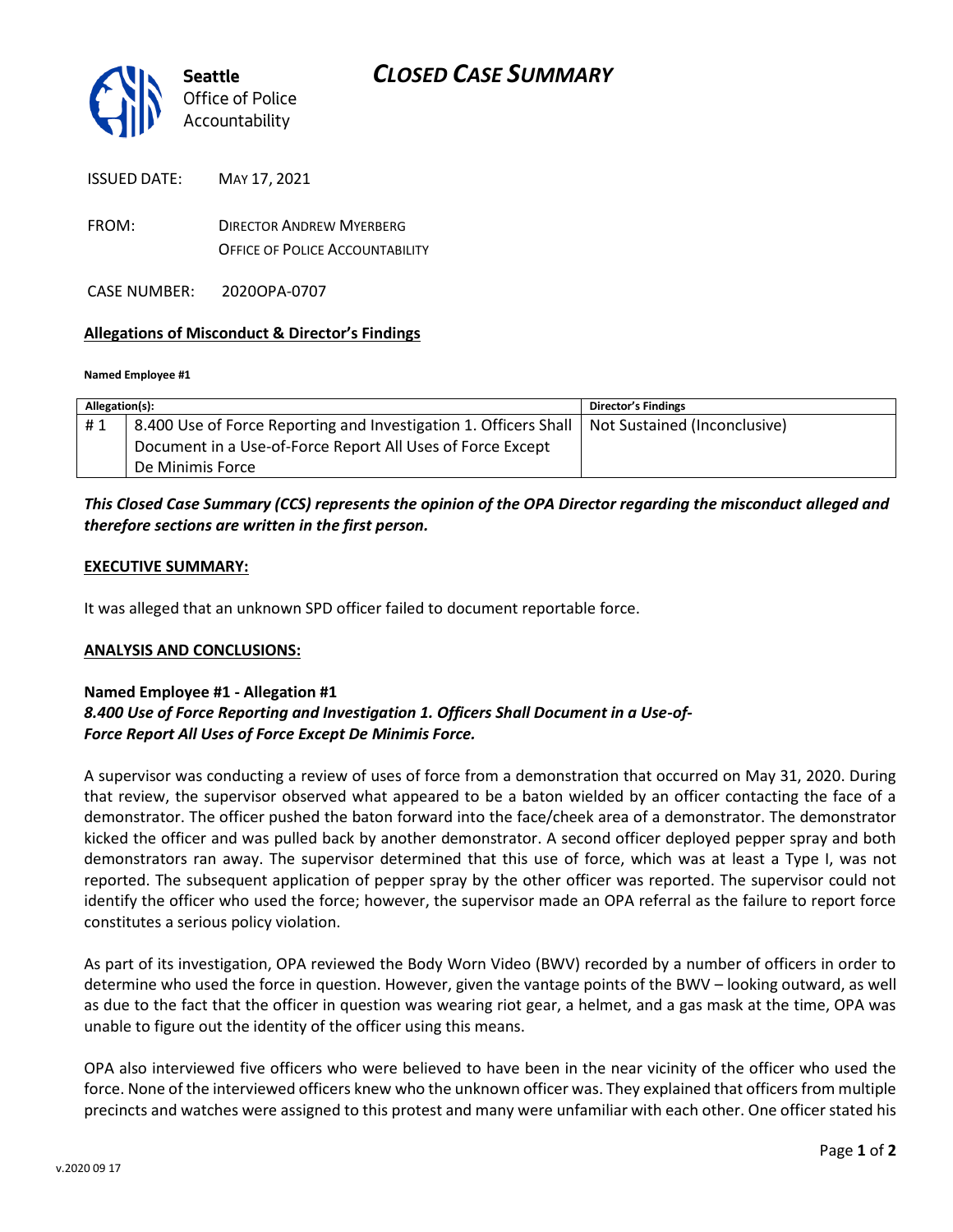

| <b>ISSUED DATE:</b> | MAY 17, 2021 |
|---------------------|--------------|
|                     |              |

FROM: DIRECTOR ANDREW MYERBERG OFFICE OF POLICE ACCOUNTABILITY

CASE NUMBER: 2020OPA-0707

### **Allegations of Misconduct & Director's Findings**

#### **Named Employee #1**

| Allegation(s): |                                                                  | <b>Director's Findings</b>   |
|----------------|------------------------------------------------------------------|------------------------------|
| #1             | 8.400 Use of Force Reporting and Investigation 1. Officers Shall | Not Sustained (Inconclusive) |
|                | Document in a Use-of-Force Report All Uses of Force Except       |                              |
|                | De Minimis Force                                                 |                              |

## *This Closed Case Summary (CCS) represents the opinion of the OPA Director regarding the misconduct alleged and therefore sections are written in the first person.*

#### **EXECUTIVE SUMMARY:**

It was alleged that an unknown SPD officer failed to document reportable force.

### **ANALYSIS AND CONCLUSIONS:**

## **Named Employee #1 - Allegation #1** *8.400 Use of Force Reporting and Investigation 1. Officers Shall Document in a Use-of-Force Report All Uses of Force Except De Minimis Force.*

A supervisor was conducting a review of uses of force from a demonstration that occurred on May 31, 2020. During that review, the supervisor observed what appeared to be a baton wielded by an officer contacting the face of a demonstrator. The officer pushed the baton forward into the face/cheek area of a demonstrator. The demonstrator kicked the officer and was pulled back by another demonstrator. A second officer deployed pepper spray and both demonstrators ran away. The supervisor determined that this use of force, which was at least a Type I, was not reported. The subsequent application of pepper spray by the other officer was reported. The supervisor could not identify the officer who used the force; however, the supervisor made an OPA referral as the failure to report force constitutes a serious policy violation.

As part of its investigation, OPA reviewed the Body Worn Video (BWV) recorded by a number of officers in order to determine who used the force in question. However, given the vantage points of the BWV – looking outward, as well as due to the fact that the officer in question was wearing riot gear, a helmet, and a gas mask at the time, OPA was unable to figure out the identity of the officer using this means.

OPA also interviewed five officers who were believed to have been in the near vicinity of the officer who used the force. None of the interviewed officers knew who the unknown officer was. They explained that officers from multiple precincts and watches were assigned to this protest and many were unfamiliar with each other. One officer stated his